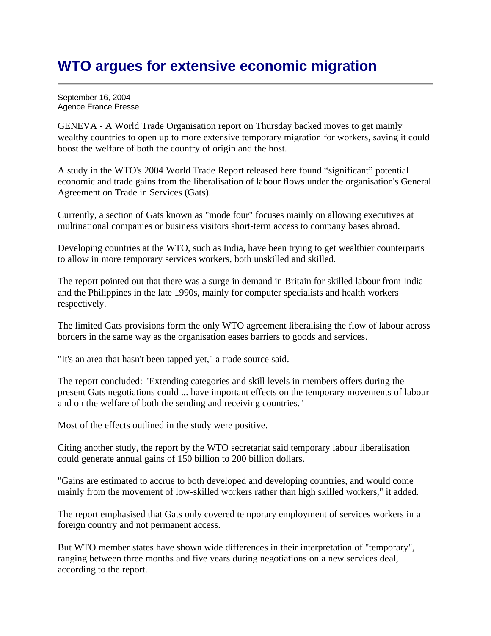## **WTO argues for extensive economic migration**

September 16, 2004 Agence France Presse

GENEVA - A World Trade Organisation report on Thursday backed moves to get mainly wealthy countries to open up to more extensive temporary migration for workers, saying it could boost the welfare of both the country of origin and the host.

A study in the WTO's 2004 World Trade Report released here found "significant" potential economic and trade gains from the liberalisation of labour flows under the organisation's General Agreement on Trade in Services (Gats).

Currently, a section of Gats known as "mode four" focuses mainly on allowing executives at multinational companies or business visitors short-term access to company bases abroad.

Developing countries at the WTO, such as India, have been trying to get wealthier counterparts to allow in more temporary services workers, both unskilled and skilled.

The report pointed out that there was a surge in demand in Britain for skilled labour from India and the Philippines in the late 1990s, mainly for computer specialists and health workers respectively.

The limited Gats provisions form the only WTO agreement liberalising the flow of labour across borders in the same way as the organisation eases barriers to goods and services.

"It's an area that hasn't been tapped yet," a trade source said.

The report concluded: "Extending categories and skill levels in members offers during the present Gats negotiations could ... have important effects on the temporary movements of labour and on the welfare of both the sending and receiving countries."

Most of the effects outlined in the study were positive.

Citing another study, the report by the WTO secretariat said temporary labour liberalisation could generate annual gains of 150 billion to 200 billion dollars.

"Gains are estimated to accrue to both developed and developing countries, and would come mainly from the movement of low-skilled workers rather than high skilled workers," it added.

The report emphasised that Gats only covered temporary employment of services workers in a foreign country and not permanent access.

But WTO member states have shown wide differences in their interpretation of "temporary", ranging between three months and five years during negotiations on a new services deal, according to the report.